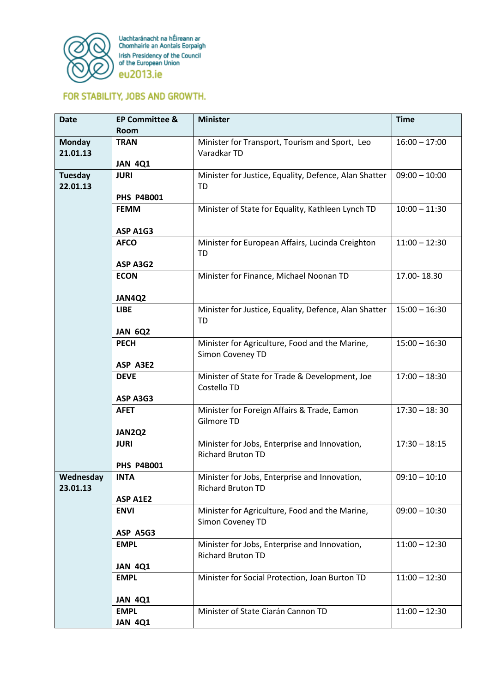

Uachtaránacht na hÉireann ar<br>Chomhairle an Aontais Eorpaigh Irish Presidency of the Council<br>of the European Union eu2013.ie

## FOR STABILITY, JOBS AND GROWTH.

| <b>Date</b>   | <b>EP Committee &amp;</b>     | <b>Minister</b>                                       | <b>Time</b>     |
|---------------|-------------------------------|-------------------------------------------------------|-----------------|
|               | <b>Room</b>                   |                                                       |                 |
| <b>Monday</b> | <b>TRAN</b>                   | Minister for Transport, Tourism and Sport, Leo        | $16:00 - 17:00$ |
| 21.01.13      |                               | Varadkar TD                                           |                 |
|               | <b>JAN 4Q1</b>                |                                                       |                 |
| Tuesday       | <b>JURI</b>                   | Minister for Justice, Equality, Defence, Alan Shatter | $09:00 - 10:00$ |
| 22.01.13      |                               | TD                                                    |                 |
|               | <b>PHS P4B001</b>             |                                                       | $10:00 - 11:30$ |
|               | <b>FEMM</b>                   | Minister of State for Equality, Kathleen Lynch TD     |                 |
|               | ASP A1G3                      |                                                       |                 |
|               | <b>AFCO</b>                   | Minister for European Affairs, Lucinda Creighton      | $11:00 - 12:30$ |
|               |                               | <b>TD</b>                                             |                 |
|               | ASP A3G2                      |                                                       |                 |
|               | <b>ECON</b>                   | Minister for Finance, Michael Noonan TD               | 17.00-18.30     |
|               |                               |                                                       |                 |
|               | JAN4Q2                        |                                                       |                 |
|               | <b>LIBE</b>                   | Minister for Justice, Equality, Defence, Alan Shatter | $15:00 - 16:30$ |
|               |                               | TD                                                    |                 |
|               | <b>JAN 6Q2</b>                |                                                       |                 |
|               | <b>PECH</b>                   | Minister for Agriculture, Food and the Marine,        | $15:00 - 16:30$ |
|               |                               | Simon Coveney TD                                      |                 |
|               | ASP A3E2                      |                                                       |                 |
|               | <b>DEVE</b>                   | Minister of State for Trade & Development, Joe        | $17:00 - 18:30$ |
|               |                               | Costello TD                                           |                 |
|               | ASP A3G3<br><b>AFET</b>       | Minister for Foreign Affairs & Trade, Eamon           | $17:30 - 18:30$ |
|               |                               | Gilmore TD                                            |                 |
|               | JAN2Q2                        |                                                       |                 |
|               | <b>JURI</b>                   | Minister for Jobs, Enterprise and Innovation,         | $17:30 - 18:15$ |
|               |                               | <b>Richard Bruton TD</b>                              |                 |
|               | <b>PHS P4B001</b>             |                                                       |                 |
| Wednesday     | <b>INTA</b>                   | Minister for Jobs, Enterprise and Innovation,         | $09:10 - 10:10$ |
| 23.01.13      |                               | <b>Richard Bruton TD</b>                              |                 |
|               | ASP A1E2                      |                                                       |                 |
|               | <b>ENVI</b>                   | Minister for Agriculture, Food and the Marine,        | $09:00 - 10:30$ |
|               |                               | Simon Coveney TD                                      |                 |
|               | ASP A5G3                      |                                                       |                 |
|               | <b>EMPL</b>                   | Minister for Jobs, Enterprise and Innovation,         | $11:00 - 12:30$ |
|               |                               | <b>Richard Bruton TD</b>                              |                 |
|               | <b>JAN 4Q1</b><br><b>EMPL</b> | Minister for Social Protection, Joan Burton TD        | $11:00 - 12:30$ |
|               |                               |                                                       |                 |
|               | <b>JAN 4Q1</b>                |                                                       |                 |
|               | <b>EMPL</b>                   | Minister of State Ciarán Cannon TD                    | $11:00 - 12:30$ |
|               | <b>JAN 4Q1</b>                |                                                       |                 |